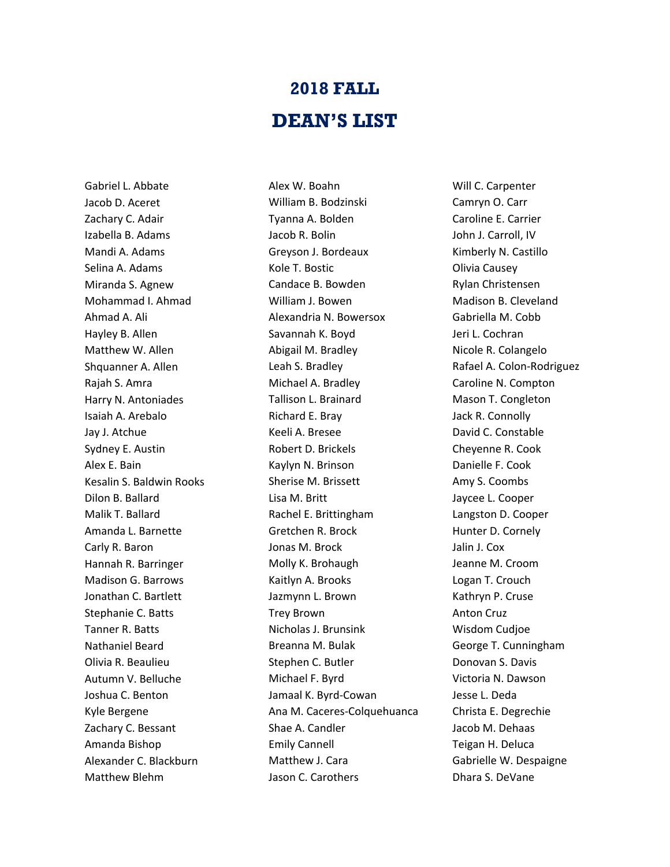## **2018 FALL DEAN'S LIST**

Gabriel L. Abbate Jacob D. Aceret Zachary C. Adair Izabella B. Adams Mandi A. Adams Selina A. Adams Miranda S. Agnew Mohammad I. Ahmad Ahmad A. Ali Hayley B. Allen Matthew W. Allen Shquanner A. Allen Rajah S. Amra Harry N. Antoniades Isaiah A. Arebalo Jay J. Atchue Sydney E. Austin Alex E. Bain Kesalin S. Baldwin Rooks Dilon B. Ballard Malik T. Ballard Amanda L. Barnette Carly R. Baron Hannah R. Barringer Madison G. Barrows Jonathan C. Bartlett Stephanie C. Batts Tanner R. Batts Nathaniel Beard Olivia R. Beaulieu Autumn V. Belluche Joshua C. Benton Kyle Bergene Zachary C. Bessant Amanda Bishop Alexander C. Blackburn Matthew Blehm

Alex W. Boahn William B. Bodzinski Tyanna A. Bolden Jacob R. Bolin Greyson J. Bordeaux Kole T. Bostic Candace B. Bowden William J. Bowen Alexandria N. Bowersox Savannah K. Boyd Abigail M. Bradley Leah S. Bradley Michael A. Bradley Tallison L. Brainard Richard E. Bray Keeli A. Bresee Robert D. Brickels Kaylyn N. Brinson Sherise M. Brissett Lisa M. Britt Rachel E. Brittingham Gretchen R. Brock Jonas M. Brock Molly K. Brohaugh Kaitlyn A. Brooks Jazmynn L. Brown Trey Brown Nicholas J. Brunsink Breanna M. Bulak Stephen C. Butler Michael F. Byrd Jamaal K. Byrd-Cowan Ana M. Caceres-Colquehuanca Shae A. Candler Emily Cannell Matthew J. Cara Jason C. Carothers

Will C. Carpenter Camryn O. Carr Caroline E. Carrier John J. Carroll, IV Kimberly N. Castillo Olivia Causey Rylan Christensen Madison B. Cleveland Gabriella M. Cobb Jeri L. Cochran Nicole R. Colangelo Rafael A. Colon-Rodriguez Caroline N. Compton Mason T. Congleton Jack R. Connolly David C. Constable Cheyenne R. Cook Danielle F. Cook Amy S. Coombs Jaycee L. Cooper Langston D. Cooper Hunter D. Cornely Jalin J. Cox Jeanne M. Croom Logan T. Crouch Kathryn P. Cruse Anton Cruz Wisdom Cudjoe George T. Cunningham Donovan S. Davis Victoria N. Dawson Jesse L. Deda Christa E. Degrechie Jacob M. Dehaas Teigan H. Deluca Gabrielle W. Despaigne Dhara S. DeVane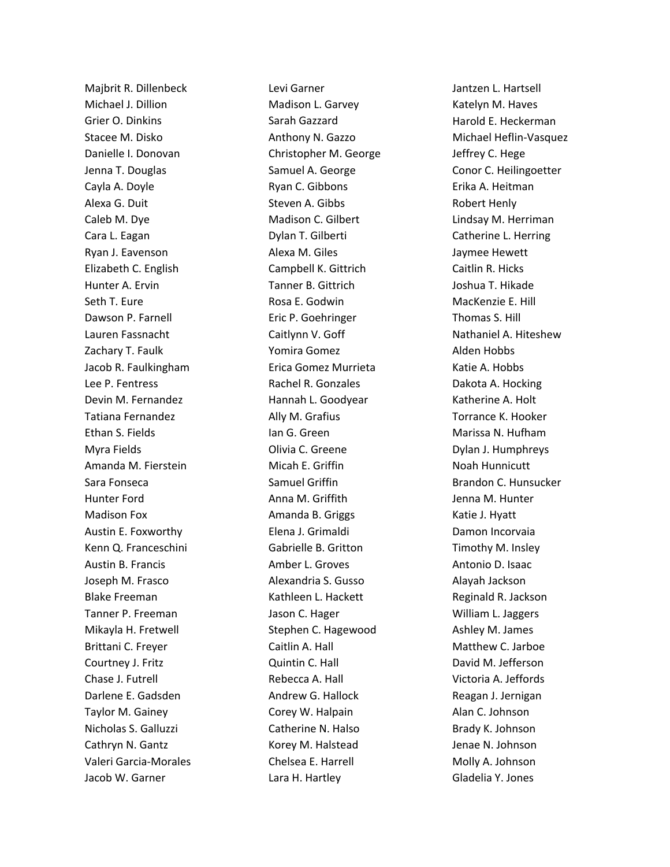Majbrit R. Dillenbeck Michael J. Dillion Grier O. Dinkins Stacee M. Disko Danielle I. Donovan Jenna T. Douglas Cayla A. Doyle Alexa G. Duit Caleb M. Dye Cara L. Eagan Ryan J. Eavenson Elizabeth C. English Hunter A. Ervin Seth T. Eure Dawson P. Farnell Lauren Fassnacht Zachary T. Faulk Jacob R. Faulkingham Lee P. Fentress Devin M. Fernandez Tatiana Fernandez Ethan S. Fields Myra Fields Amanda M. Fierstein Sara Fonseca Hunter Ford Madison Fox Austin E. Foxworthy Kenn Q. Franceschini Austin B. Francis Joseph M. Frasco Blake Freeman Tanner P. Freeman Mikayla H. Fretwell Brittani C. Freyer Courtney J. Fritz Chase J. Futrell Darlene E. Gadsden Taylor M. Gainey Nicholas S. Galluzzi Cathryn N. Gantz Valeri Garcia-Morales Jacob W. Garner

Levi Garner Madison L. Garvey Sarah Gazzard Anthony N. Gazzo Christopher M. George Samuel A. George Ryan C. Gibbons Steven A. Gibbs Madison C. Gilbert Dylan T. Gilberti Alexa M. Giles Campbell K. Gittrich Tanner B. Gittrich Rosa E. Godwin Eric P. Goehringer Caitlynn V. Goff Yomira Gomez Erica Gomez Murrieta Rachel R. Gonzales Hannah L. Goodyear Ally M. Grafius Ian G. Green Olivia C. Greene Micah E. Griffin Samuel Griffin Anna M. Griffith Amanda B. Griggs Elena J. Grimaldi Gabrielle B. Gritton Amber L. Groves Alexandria S. Gusso Kathleen L. Hackett Jason C. Hager Stephen C. Hagewood Caitlin A. Hall Quintin C. Hall Rebecca A. Hall Andrew G. Hallock Corey W. Halpain Catherine N. Halso Korey M. Halstead Chelsea E. Harrell Lara H. Hartley

Jantzen L. Hartsell Katelyn M. Haves Harold E. Heckerman Michael Heflin-Vasquez Jeffrey C. Hege Conor C. Heilingoetter Erika A. Heitman Robert Henly Lindsay M. Herriman Catherine L. Herring Jaymee Hewett Caitlin R. Hicks Joshua T. Hikade MacKenzie E. Hill Thomas S. Hill Nathaniel A. Hiteshew Alden Hobbs Katie A. Hobbs Dakota A. Hocking Katherine A. Holt Torrance K. Hooker Marissa N. Hufham Dylan J. Humphreys Noah Hunnicutt Brandon C. Hunsucker Jenna M. Hunter Katie J. Hyatt Damon Incorvaia Timothy M. Insley Antonio D. Isaac Alayah Jackson Reginald R. Jackson William L. Jaggers Ashley M. James Matthew C. Jarboe David M. Jefferson Victoria A. Jeffords Reagan J. Jernigan Alan C. Johnson Brady K. Johnson Jenae N. Johnson Molly A. Johnson Gladelia Y. Jones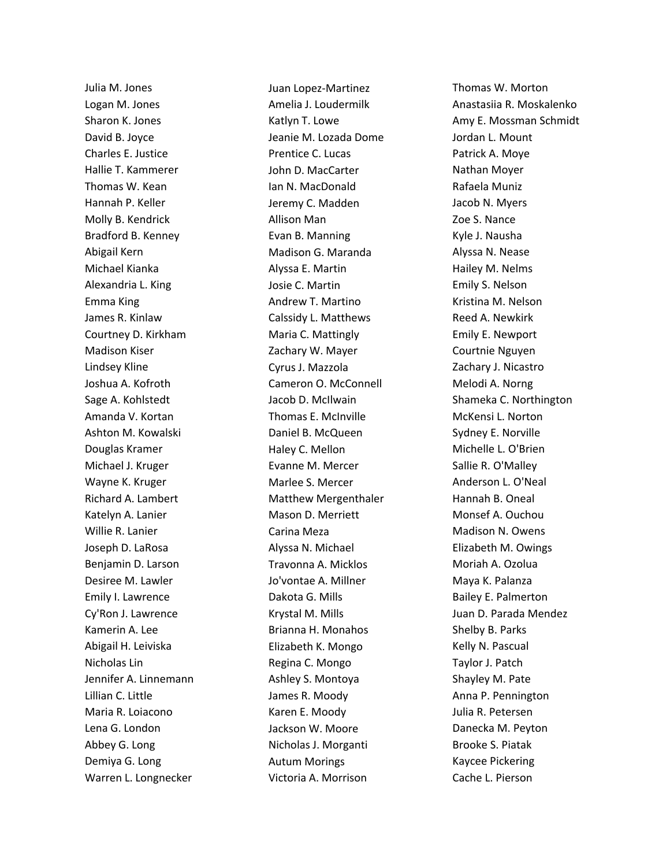Julia M. Jones Logan M. Jones Sharon K. Jones David B. Joyce Charles E. Justice Hallie T. Kammerer Thomas W. Kean Hannah P. Keller Molly B. Kendrick Bradford B. Kenney Abigail Kern Michael Kianka Alexandria L. King Emma King James R. Kinlaw Courtney D. Kirkham Madison Kiser Lindsey Kline Joshua A. Kofroth Sage A. Kohlstedt Amanda V. Kortan Ashton M. Kowalski Douglas Kramer Michael J. Kruger Wayne K. Kruger Richard A. Lambert Katelyn A. Lanier Willie R. Lanier Joseph D. LaRosa Benjamin D. Larson Desiree M. Lawler Emily I. Lawrence Cy'Ron J. Lawrence Kamerin A. Lee Abigail H. Leiviska Nicholas Lin Jennifer A. Linnemann Lillian C. Little Maria R. Loiacono Lena G. London Abbey G. Long Demiya G. Long Warren L. Longnecker

Juan Lopez-Martinez Amelia J. Loudermilk Katlyn T. Lowe Jeanie M. Lozada Dome Prentice C. Lucas John D. MacCarter Ian N. MacDonald Jeremy C. Madden Allison Man Evan B. Manning Madison G. Maranda Alyssa E. Martin Josie C. Martin Andrew T. Martino Calssidy L. Matthews Maria C. Mattingly Zachary W. Mayer Cyrus J. Mazzola Cameron O. McConnell Jacob D. McIlwain Thomas E. McInville Daniel B. McQueen Haley C. Mellon Evanne M. Mercer Marlee S. Mercer Matthew Mergenthaler Mason D. Merriett Carina Meza Alyssa N. Michael Travonna A. Micklos Jo'vontae A. Millner Dakota G. Mills Krystal M. Mills Brianna H. Monahos Elizabeth K. Mongo Regina C. Mongo Ashley S. Montoya James R. Moody Karen E. Moody Jackson W. Moore Nicholas J. Morganti Autum Morings Victoria A. Morrison

Thomas W. Morton Anastasiia R. Moskalenko Amy E. Mossman Schmidt Jordan L. Mount Patrick A. Moye Nathan Moyer Rafaela Muniz Jacob N. Myers Zoe S. Nance Kyle J. Nausha Alyssa N. Nease Hailey M. Nelms Emily S. Nelson Kristina M. Nelson Reed A. Newkirk Emily E. Newport Courtnie Nguyen Zachary J. Nicastro Melodi A. Norng Shameka C. Northington McKensi L. Norton Sydney E. Norville Michelle L. O'Brien Sallie R. O'Malley Anderson L. O'Neal Hannah B. Oneal Monsef A. Ouchou Madison N. Owens Elizabeth M. Owings Moriah A. Ozolua Maya K. Palanza Bailey E. Palmerton Juan D. Parada Mendez Shelby B. Parks Kelly N. Pascual Taylor J. Patch Shayley M. Pate Anna P. Pennington Julia R. Petersen Danecka M. Peyton Brooke S. Piatak Kaycee Pickering Cache L. Pierson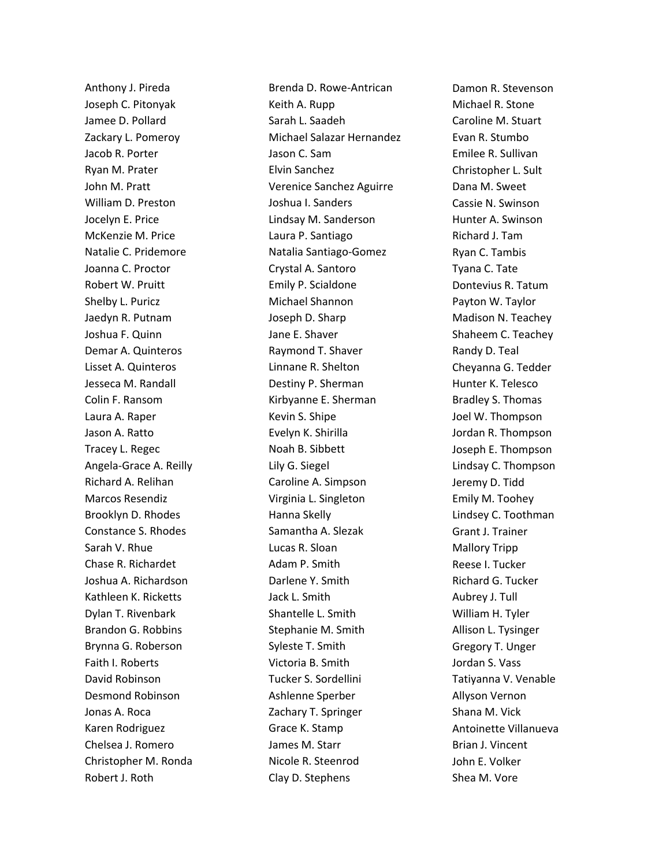Anthony J. Pireda Joseph C. Pitonyak Jamee D. Pollard Zackary L. Pomeroy Jacob R. Porter Ryan M. Prater John M. Pratt William D. Preston Jocelyn E. Price McKenzie M. Price Natalie C. Pridemore Joanna C. Proctor Robert W. Pruitt Shelby L. Puricz Jaedyn R. Putnam Joshua F. Quinn Demar A. Quinteros Lisset A. Quinteros Jesseca M. Randall Colin F. Ransom Laura A. Raper Jason A. Ratto Tracey L. Regec Angela-Grace A. Reilly Richard A. Relihan Marcos Resendiz Brooklyn D. Rhodes Constance S. Rhodes Sarah V. Rhue Chase R. Richardet Joshua A. Richardson Kathleen K. Ricketts Dylan T. Rivenbark Brandon G. Robbins Brynna G. Roberson Faith I. Roberts David Robinson Desmond Robinson Jonas A. Roca Karen Rodriguez Chelsea J. Romero Christopher M. Ronda Robert J. Roth

Brenda D. Rowe-Antrican Keith A. Rupp Sarah L. Saadeh Michael Salazar Hernandez Jason C. Sam Elvin Sanchez Verenice Sanchez Aguirre Joshua I. Sanders Lindsay M. Sanderson Laura P. Santiago Natalia Santiago-Gomez Crystal A. Santoro Emily P. Scialdone Michael Shannon Joseph D. Sharp Jane E. Shaver Raymond T. Shaver Linnane R. Shelton Destiny P. Sherman Kirbyanne E. Sherman Kevin S. Shipe Evelyn K. Shirilla Noah B. Sibbett Lily G. Siegel Caroline A. Simpson Virginia L. Singleton Hanna Skelly Samantha A. Slezak Lucas R. Sloan Adam P. Smith Darlene Y. Smith Jack L. Smith Shantelle L. Smith Stephanie M. Smith Syleste T. Smith Victoria B. Smith Tucker S. Sordellini Ashlenne Sperber Zachary T. Springer Grace K. Stamp James M. Starr Nicole R. Steenrod Clay D. Stephens

Damon R. Stevenson Michael R. Stone Caroline M. Stuart Evan R. Stumbo Emilee R. Sullivan Christopher L. Sult Dana M. Sweet Cassie N. Swinson Hunter A. Swinson Richard J. Tam Ryan C. Tambis Tyana C. Tate Dontevius R. Tatum Payton W. Taylor Madison N. Teachey Shaheem C. Teachey Randy D. Teal Cheyanna G. Tedder Hunter K. Telesco Bradley S. Thomas Joel W. Thompson Jordan R. Thompson Joseph E. Thompson Lindsay C. Thompson Jeremy D. Tidd Emily M. Toohey Lindsey C. Toothman Grant J. Trainer Mallory Tripp Reese I. Tucker Richard G. Tucker Aubrey J. Tull William H. Tyler Allison L. Tysinger Gregory T. Unger Jordan S. Vass Tatiyanna V. Venable Allyson Vernon Shana M. Vick Antoinette Villanueva Brian J. Vincent John E. Volker Shea M. Vore